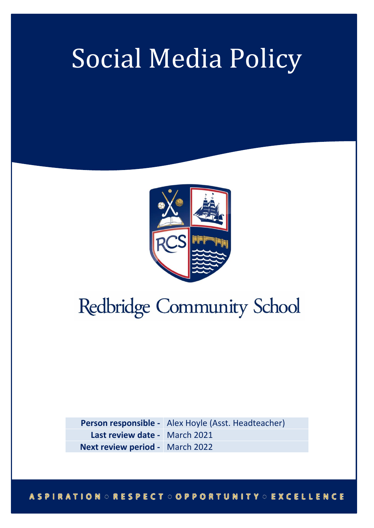## ľ Social Media Policy



# Redbridge Community School

**Person responsible -** Alex Hoyle (Asst. Headteacher) **Last review date -** March 2021 **Next review period -** March 2022

#### **ASPIRATION ORESPECT OOPPORTUNITY OEXCELLENCE**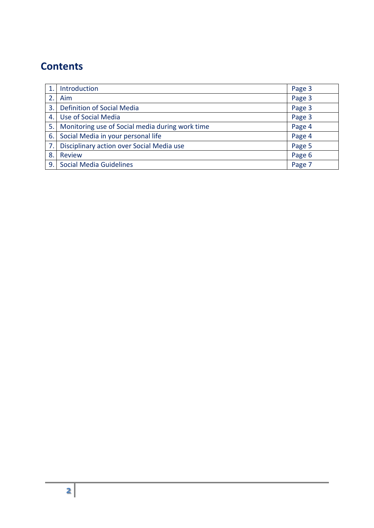### **Contents**

|     | Introduction                                    | Page 3 |
|-----|-------------------------------------------------|--------|
|     | Aim                                             | Page 3 |
| 3.1 | <b>Definition of Social Media</b>               | Page 3 |
| 4.  | Use of Social Media                             | Page 3 |
| 5.1 | Monitoring use of Social media during work time | Page 4 |
| 6.1 | Social Media in your personal life              | Page 4 |
| 7.1 | Disciplinary action over Social Media use       | Page 5 |
| 8.  | <b>Review</b>                                   | Page 6 |
|     | 9. Social Media Guidelines                      | Page 7 |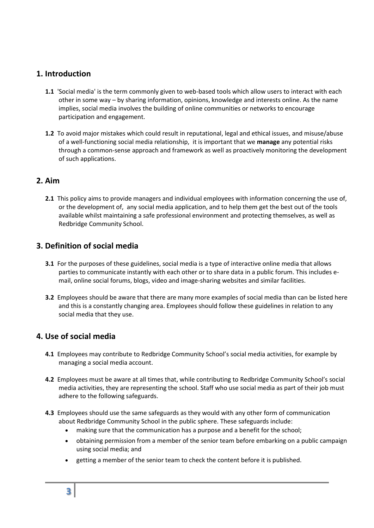#### **1. Introduction**

- **1.1** 'Social media' is the term commonly given to web-based tools which allow users to interact with each other in some way – by sharing information, opinions, knowledge and interests online. As the name implies, social media involves the building of online communities or networks to encourage participation and engagement.
- **1.2** To avoid major mistakes which could result in reputational, legal and ethical issues, and misuse/abuse of a well-functioning social media relationship, it is important that we **manage** any potential risks through a common-sense approach and framework as well as proactively monitoring the development of such applications.

#### **2. Aim**

**2.1** This policy aims to provide managers and individual employees with information concerning the use of, or the development of, any social media application, and to help them get the best out of the tools available whilst maintaining a safe professional environment and protecting themselves, as well as Redbridge Community School.

#### **3. Definition of social media**

- **3.1** For the purposes of these guidelines, social media is a type of interactive online media that allows parties to communicate instantly with each other or to share data in a public forum. This includes email, online social forums, blogs, video and image-sharing websites and similar facilities.
- **3.2** Employees should be aware that there are many more examples of social media than can be listed here and this is a constantly changing area. Employees should follow these guidelines in relation to any social media that they use.

#### **4. Use of social media**

- **4.1** Employees may contribute to Redbridge Community School's social media activities, for example by managing a social media account.
- **4.2** Employees must be aware at all times that, while contributing to Redbridge Community School's social media activities, they are representing the school. Staff who use social media as part of their job must adhere to the following safeguards.
- **4.3** Employees should use the same safeguards as they would with any other form of communication about Redbridge Community School in the public sphere. These safeguards include:
	- making sure that the communication has a purpose and a benefit for the school;
	- obtaining permission from a member of the senior team before embarking on a public campaign using social media; and
	- getting a member of the senior team to check the content before it is published.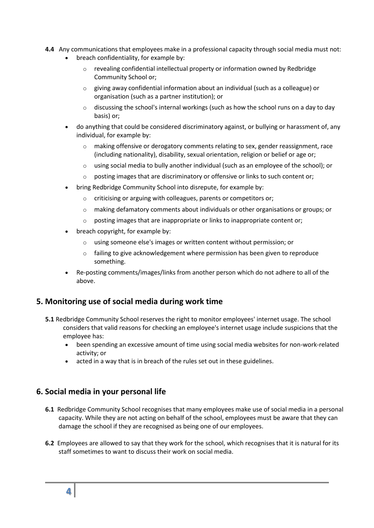- **4.4** Any communications that employees make in a professional capacity through social media must not:
	- breach confidentiality, for example by:
		- o revealing confidential intellectual property or information owned by Redbridge Community School or;
		- $\circ$  giving away confidential information about an individual (such as a colleague) or organisation (such as a partner institution); or
		- $\circ$  discussing the school's internal workings (such as how the school runs on a day to day basis) or;
	- do anything that could be considered discriminatory against, or bullying or harassment of, any individual, for example by:
		- $\circ$  making offensive or derogatory comments relating to sex, gender reassignment, race (including nationality), disability, sexual orientation, religion or belief or age or;
		- $\circ$  using social media to bully another individual (such as an employee of the school); or
		- $\circ$  posting images that are discriminatory or offensive or links to such content or;
	- bring Redbridge Community School into disrepute, for example by:
		- o criticising or arguing with colleagues, parents or competitors or;
		- $\circ$  making defamatory comments about individuals or other organisations or groups; or
		- o posting images that are inappropriate or links to inappropriate content or;
	- breach copyright, for example by:
		- o using someone else's images or written content without permission; or
		- $\circ$  failing to give acknowledgement where permission has been given to reproduce something.
	- Re-posting comments/images/links from another person which do not adhere to all of the above.

#### **5. Monitoring use of social media during work time**

- **5.1** Redbridge Community School reserves the right to monitor employees' internet usage. The school considers that valid reasons for checking an employee's internet usage include suspicions that the employee has:
	- been spending an excessive amount of time using social media websites for non-work-related activity; or
	- acted in a way that is in breach of the rules set out in these guidelines.

#### **6. Social media in your personal life**

- **6.1** Redbridge Community School recognises that many employees make use of social media in a personal capacity. While they are not acting on behalf of the school, employees must be aware that they can damage the school if they are recognised as being one of our employees.
- **6.2** Employees are allowed to say that they work for the school, which recognises that it is natural for its staff sometimes to want to discuss their work on social media.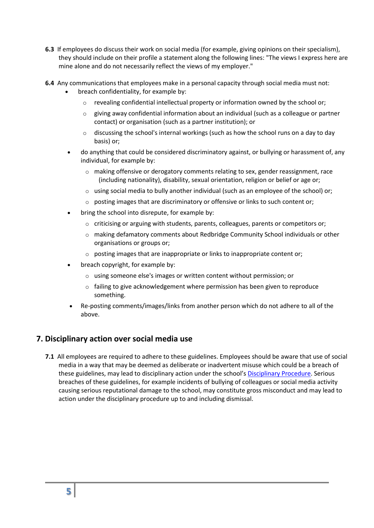- **6.3** If employees do discuss their work on social media (for example, giving opinions on their specialism), they should include on their profile a statement along the following lines: "The views I express here are mine alone and do not necessarily reflect the views of my employer."
- **6.4** Any communications that employees make in a personal capacity through social media must not:
	- breach confidentiality, for example by:
		- $\circ$  revealing confidential intellectual property or information owned by the school or;
		- $\circ$  giving away confidential information about an individual (such as a colleague or partner contact) or organisation (such as a partner institution); or
		- o discussing the school's internal workings (such as how the school runs on a day to day basis) or;
	- do anything that could be considered discriminatory against, or bullying or harassment of, any individual, for example by:
		- o making offensive or derogatory comments relating to sex, gender reassignment, race (including nationality), disability, sexual orientation, religion or belief or age or;
		- o using social media to bully another individual (such as an employee of the school) or;
		- o posting images that are discriminatory or offensive or links to such content or;
	- bring the school into disrepute, for example by:
		- $\circ$  criticising or arguing with students, parents, colleagues, parents or competitors or;
		- $\circ$  making defamatory comments about Redbridge Community School individuals or other organisations or groups or;
		- o posting images that are inappropriate or links to inappropriate content or;
	- breach copyright, for example by:
		- o using someone else's images or written content without permission; or
		- $\circ$  failing to give acknowledgement where permission has been given to reproduce something.
	- Re-posting comments/images/links from another person which do not adhere to all of the above.

#### **7. Disciplinary action over social media use**

**7.1** All employees are required to adhere to these guidelines. Employees should be aware that use of social media in a way that may be deemed as deliberate or inadvertent misuse which could be a breach of these guidelines, may lead to disciplinary action under the school's [Disciplinary Procedure.](https://www.york.ac.uk/admin/hr/resources/policy/disciplinary/) Serious breaches of these guidelines, for example incidents of bullying of colleagues or social media activity causing serious reputational damage to the school, may constitute gross misconduct and may lead to action under the disciplinary procedure up to and including dismissal.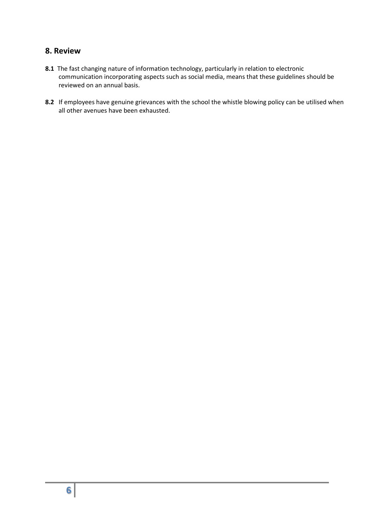#### **8. Review**

- **8.1** The fast changing nature of information technology, particularly in relation to electronic communication incorporating aspects such as social media, means that these guidelines should be reviewed on an annual basis.
- **8.2** If employees have genuine grievances with the school the whistle blowing policy can be utilised when all other avenues have been exhausted.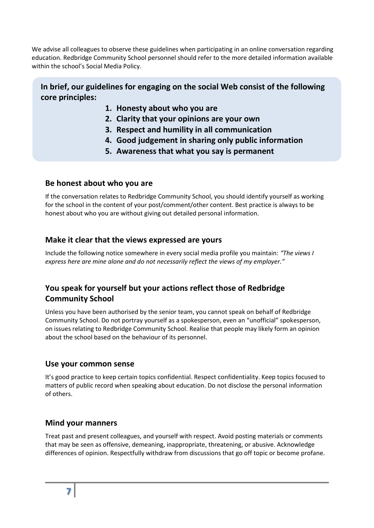We advise all colleagues to observe these guidelines when participating in an online conversation regarding education. Redbridge Community School personnel should refer to the more detailed information available within the school's Social Media Policy.

#### **In brief, our guidelines for engaging on the social Web consist of the following core principles:**

- **1. Honesty about who you are**
- **2. Clarity that your opinions are your own**
- **3. Respect and humility in all communication**
- **4. Good judgement in sharing only public information**
- **5. Awareness that what you say is permanent**

#### **Be honest about who you are**

If the conversation relates to Redbridge Community School, you should identify yourself as working for the school in the content of your post/comment/other content. Best practice is always to be honest about who you are without giving out detailed personal information.

#### **Make it clear that the views expressed are yours**

Include the following notice somewhere in every social media profile you maintain: *"The views I express here are mine alone and do not necessarily reflect the views of my employer."*

#### **You speak for yourself but your actions reflect those of Redbridge Community School**

Unless you have been authorised by the senior team, you cannot speak on behalf of Redbridge Community School. Do not portray yourself as a spokesperson, even an "unofficial" spokesperson, on issues relating to Redbridge Community School. Realise that people may likely form an opinion about the school based on the behaviour of its personnel.

#### **Use your common sense**

It's good practice to keep certain topics confidential. Respect confidentiality. Keep topics focused to matters of public record when speaking about education. Do not disclose the personal information of others.

#### **Mind your manners**

Treat past and present colleagues, and yourself with respect. Avoid posting materials or comments that may be seen as offensive, demeaning, inappropriate, threatening, or abusive. Acknowledge differences of opinion. Respectfully withdraw from discussions that go off topic or become profane.